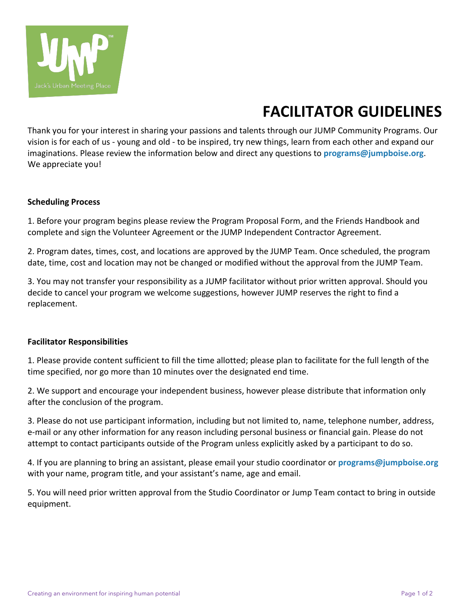

## **FACILITATOR GUIDELINES**

Thank you for your interest in sharing your passions and talents through our JUMP Community Programs. Our vision is for each of us - young and old - to be inspired, try new things, learn from each other and expand our imaginations. Please review the information below and direct any questions to **programs@jumpboise.org**. We appreciate you!

## **Scheduling Process**

1. Before your program begins please review the Program Proposal Form, and the Friends Handbook and complete and sign the Volunteer Agreement or the JUMP Independent Contractor Agreement.

2. Program dates, times, cost, and locations are approved by the JUMP Team. Once scheduled, the program date, time, cost and location may not be changed or modified without the approval from the JUMP Team.

3. You may not transfer your responsibility as a JUMP facilitator without prior written approval. Should you decide to cancel your program we welcome suggestions, however JUMP reserves the right to find a replacement.

## **Facilitator Responsibilities**

1. Please provide content sufficient to fill the time allotted; please plan to facilitate for the full length of the time specified, nor go more than 10 minutes over the designated end time.

2. We support and encourage your independent business, however please distribute that information only after the conclusion of the program.

3. Please do not use participant information, including but not limited to, name, telephone number, address, e-mail or any other information for any reason including personal business or financial gain. Please do not attempt to contact participants outside of the Program unless explicitly asked by a participant to do so.

4. If you are planning to bring an assistant, please email your studio coordinator or **programs@jumpboise.org** with your name, program title, and your assistant's name, age and email.

5. You will need prior written approval from the Studio Coordinator or Jump Team contact to bring in outside equipment.